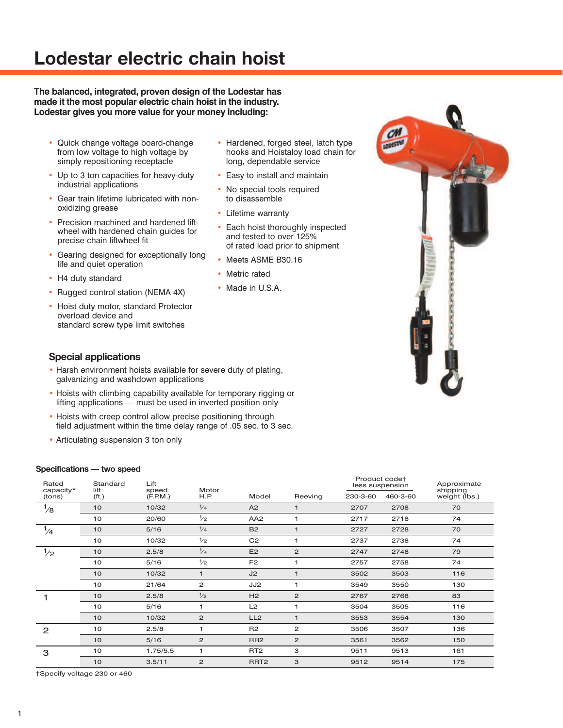# **Lodestar electric chain hoist**

**The balanced, integrated, proven design of the Lodestar has made it the most popular electric chain hoist in the industry. Lodestar gives you more value for your money including:**

- Quick change voltage board-change from low voltage to high voltage by simply repositioning receptacle
- Up to 3 ton capacities for heavy-duty industrial applications
- Gear train lifetime lubricated with nonoxidizing grease
- Precision machined and hardened liftwheel with hardened chain guides for precise chain liftwheel fit
- Gearing designed for exceptionally long life and quiet operation
- H4 duty standard
- Rugged control station (NEMA 4X)
- Hoist duty motor, standard Protector overload device and standard screw type limit switches
- Hardened, forged steel, latch type hooks and Hoistaloy load chain for long, dependable service
- Easy to install and maintain
- No special tools required to disassemble
- Lifetime warranty
- Each hoist thoroughly inspected and tested to over 125% of rated load prior to shipment
- Meets ASME B30.16
- Metric rated
- Made in U.S.A.



### **Special applications**

- Harsh environment hoists available for severe duty of plating, galvanizing and washdown applications
- Hoists with climbing capability available for temporary rigging or lifting applications — must be used in inverted position only
- Hoists with creep control allow precise positioning through field adjustment within the time delay range of .05 sec. to 3 sec.
- Articulating suspension 3 ton only

#### **Specifications — two speed**

| Rated<br>capacity* | Standard<br>lift | Lift<br>speed | Motor         |                  |                         | Product codet<br>less suspension |          | Approximate<br>shipping |
|--------------------|------------------|---------------|---------------|------------------|-------------------------|----------------------------------|----------|-------------------------|
| (tons)             | ( <i>ft</i> .)   | (F.P.M.)      | H.P.          | Model            | Reeving                 | 230-3-60                         | 460-3-60 | weight (lbs.)           |
| $\frac{1}{8}$      | 10               | 10/32         | $\frac{1}{4}$ | A2               | $\mathbf 1$             | 2707                             | 2708     | 70                      |
|                    | 10               | 20/60         | $\frac{1}{2}$ | AA <sub>2</sub>  | 1                       | 2717                             | 2718     | 74                      |
| $\frac{1}{4}$      | 10               | 5/16          | $\frac{1}{4}$ | <b>B2</b>        | $\overline{1}$          | 2727                             | 2728     | 70                      |
|                    | 10               | 10/32         | $\frac{1}{2}$ | C <sub>2</sub>   |                         | 2737                             | 2738     | 74                      |
| $\frac{1}{2}$      | 10               | 2.5/8         | $\frac{1}{4}$ | E <sub>2</sub>   | $\mathbf{2}$            | 2747                             | 2748     | 79                      |
|                    | 10               | 5/16          | $\frac{1}{2}$ | F <sub>2</sub>   | 1                       | 2757                             | 2758     | 74                      |
|                    | 10               | 10/32         | $\mathbf{1}$  | J2               | $\overline{1}$          | 3502                             | 3503     | 116                     |
|                    | 10               | 21/64         | 2             | JJ2              |                         | 3549                             | 3550     | 130                     |
|                    | 10               | 2.5/8         | $\frac{1}{2}$ | H2               | $\mathbf{2}$            | 2767                             | 2768     | 83                      |
|                    | 10               | 5/16          | 1             | L2               | $\overline{\mathbf{1}}$ | 3504                             | 3505     | 116                     |
|                    | 10               | 10/32         | 2             | LL <sub>2</sub>  | $\overline{1}$          | 3553                             | 3554     | 130                     |
| $\overline{2}$     | 10               | 2.5/8         | 1             | R2               | $\overline{2}$          | 3506                             | 3507     | 136                     |
|                    | 10               | 5/16          | 2             | RR <sub>2</sub>  | $\overline{2}$          | 3561                             | 3562     | 150                     |
| 3                  | 10               | 1.75/5.5      | 1             | RT <sub>2</sub>  | 3                       | 9511                             | 9513     | 161                     |
|                    | 10               | 3.5/11        | $\mathbf{Z}$  | RRT <sub>2</sub> | 3                       | 9512                             | 9514     | 175                     |

†Specify voltage 230 or 460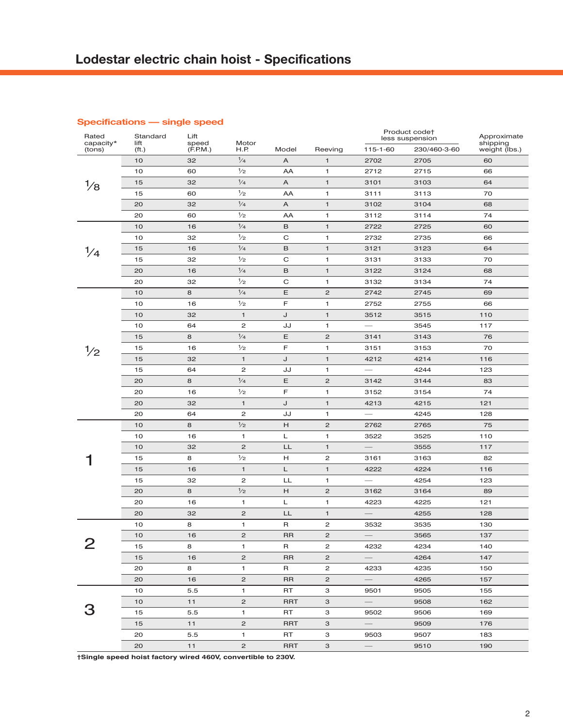| Rated<br>capacity* | Standard<br>lift | Lift<br>speed | Motor          |            |                | Product code†<br>less suspension |              | Approximate<br>shipping |
|--------------------|------------------|---------------|----------------|------------|----------------|----------------------------------|--------------|-------------------------|
| (tons)             | ( <i>ft</i> .)   | (F.P.M.)      | H.P.           | Model      | Reeving        | 115-1-60                         | 230/460-3-60 | weight (lbs.)           |
|                    | 10               | 32            | $\frac{1}{4}$  | A          | $\mathbf{1}$   | 2702                             | 2705         | 60                      |
|                    | 10               | 60            | $\frac{1}{2}$  | AA         | 1              | 2712                             | 2715         | 66                      |
|                    | 15               | 32            | $\frac{1}{4}$  | Α          | $\mathbf{1}$   | 3101                             | 3103         | 64                      |
|                    | 15               | 60            | $\frac{1}{2}$  | AA         | 1              | 3111                             | 3113         | 70                      |
|                    | 20               | 32            | $\frac{1}{4}$  | Α          | $\mathbf{1}$   | 3102                             | 3104         | 68                      |
|                    | 20               | 60            | $\frac{1}{2}$  | AA         | 1              | 3112                             | 3114         | 74                      |
|                    | 10               | 16            | $\frac{1}{4}$  | B          | $\mathbf{1}$   | 2722                             | 2725         | 60                      |
|                    | 10               | 32            | $\frac{1}{2}$  | C          | 1              | 2732                             | 2735         | 66                      |
| $\frac{1}{4}$      | 15               | 16            | $\frac{1}{4}$  | B          | $\mathbf{1}$   | 3121                             | 3123         | 64                      |
|                    | 15               | 32            | $\frac{1}{2}$  | C          | 1              | 3131                             | 3133         | 70                      |
|                    | 20               | 16            | $\frac{1}{4}$  | B          | $\mathbf{1}$   | 3122                             | 3124         | 68                      |
|                    | 20               | 32            | $\frac{1}{2}$  | C          | 1              | 3132                             | 3134         | 74                      |
|                    | 10               | 8             | $\frac{1}{4}$  | Ε          | $\mathbf{Z}$   | 2742                             | 2745         | 69                      |
|                    | 10               | 16            | $\frac{1}{2}$  | F          | 1              | 2752                             | 2755         | 66                      |
|                    | 10               | 32            | $\mathbf{1}$   | J          | $\mathbf{1}$   | 3512                             | 3515         | 110                     |
|                    | 10               | 64            | $\overline{c}$ | JJ         | 1              |                                  | 3545         | 117                     |
|                    | 15               | 8             | $\frac{1}{4}$  | Ε          | $\mathbf{Z}$   | 3141                             | 3143         | 76                      |
| $\frac{1}{2}$      | 15               | 16            | $\frac{1}{2}$  | F          | 1              | 3151                             | 3153         | 70                      |
|                    | 15               | 32            | $\mathbf{1}$   | J          | $\mathbf{1}$   | 4212                             | 4214         | 116                     |
|                    | 15               | 64            | $\overline{c}$ | JJ         | 1              |                                  | 4244         | 123                     |
|                    | 20               | 8             | $\frac{1}{4}$  | Ε          | $\mathbf{Z}$   | 3142                             | 3144         | 83                      |
|                    | 20               | 16            | $\frac{1}{2}$  | F          | 1              | 3152                             | 3154         | 74                      |
|                    | 20               | 32            | $\mathbf{1}$   | J          | $\mathbf{1}$   | 4213                             | 4215         | 121                     |
|                    | 20               | 64            | $\mathbf{Z}$   | JJ         | 1              |                                  | 4245         | 128                     |
|                    | 10               | 8             | 1/2            | Н          | $\mathbf{Z}$   | 2762                             | 2765         | 75                      |
|                    | 10               | 16            | 1              | Г          | 1              | 3522                             | 3525         | 110                     |
|                    | 10               | 32            | $\mathbf{Z}$   | LL         | $\mathbf{1}$   | $\overline{\phantom{0}}$         | 3555         | 117                     |
|                    | 15               | 8             | $\frac{1}{2}$  | н          | 2              | 3161                             | 3163         | 82                      |
|                    | 15               | 16            | $\mathbf{1}$   | L          | $\mathbf{1}$   | 4222                             | 4224         | 116                     |
|                    | 15               | 32            | $\overline{c}$ | LL         | 1              | $\overline{\phantom{0}}$         | 4254         | 123                     |
|                    | 20               | 8             | $\frac{1}{2}$  | Н          | $\mathbf{Z}$   | 3162                             | 3164         | 89                      |
|                    | 20               | 16            | $\mathbf{1}$   | Г          | 1              | 4223                             | 4225         | 121                     |
|                    | 20               | 32            | $\mathbf{Z}$   | LL         | $\mathbf{1}$   |                                  | 4255         | 128                     |
|                    | 10               | 8             | 1              | R          | 2              | 3532                             | 3535         | 130                     |
|                    | 10               | 16            | $\mathbf{Z}$   | <b>RR</b>  | $\mathbf{Z}$   |                                  | 3565         | 137                     |
| ∠                  | 15               | 8             | 1              | R          | 2              | 4232                             | 4234         | 140                     |
|                    | 15               | 16            | $\overline{c}$ | <b>RR</b>  | $\overline{c}$ |                                  | 4264         | 147                     |
|                    | 20               | 8             | $\mathbf{1}$   | R          | 2              | 4233                             | 4235         | 150                     |
|                    | 20               | 16            | $\overline{c}$ | <b>RR</b>  | $\overline{c}$ |                                  | 4265         | 157                     |
|                    | 10               | 5.5           | $\mathbf{1}$   | RT         | З              | 9501                             | 9505         | 155                     |
|                    | 10               | 11            | $\overline{c}$ | <b>RRT</b> | 3              | $\overline{\phantom{0}}$         | 9508         | 162                     |
|                    | 15               | 5.5           | $\mathbf{1}$   | RT         | З              | 9502                             | 9506         | 169                     |
|                    | 15               | 11            | $\overline{2}$ | <b>RRT</b> | 3              |                                  | 9509         | 176                     |
|                    | 20               | 5.5           | $\mathbf{1}$   | RT.        | З              | 9503                             | 9507         | 183                     |
|                    | 20               | 11            | $\overline{c}$ | <b>RRT</b> | 3              |                                  | 9510         | 190                     |

### **Specifications — single speed**

**†Single speed hoist factory wired 460V, convertible to 230V.**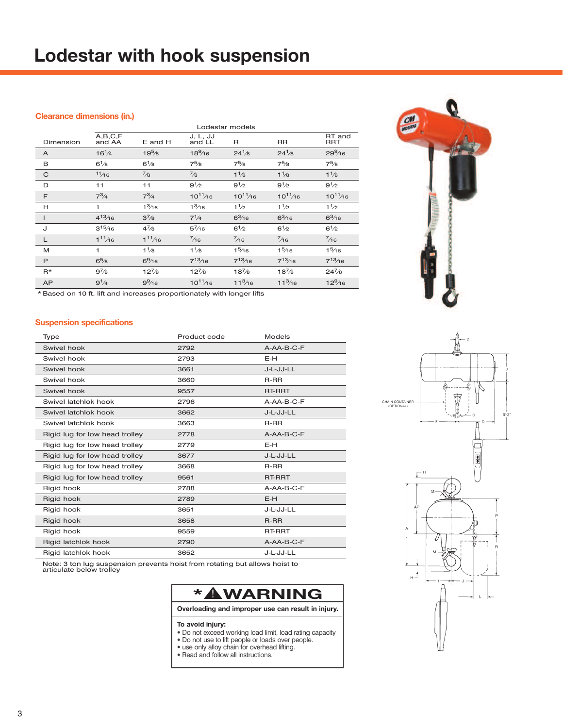# **Lodestar with hook suspension**

### **Clearance dimensions (in.)**

|                               | Lodestar models      |                    |                                                                                     |                      |                    |                        |  |  |
|-------------------------------|----------------------|--------------------|-------------------------------------------------------------------------------------|----------------------|--------------------|------------------------|--|--|
| Dimension                     | A, B, C, F<br>and AA | E and H            | J, L, JJ<br>and LL                                                                  | $\mathsf{R}$         | <b>RR</b>          | RT and<br><b>RRT</b>   |  |  |
| A                             | $16^{1/4}$           | 19 <sup>5</sup> /8 | $18\frac{9}{16}$                                                                    | $24^{1}/8$           | $24^{1}/8$         | $29\%6$                |  |  |
| B                             | $6^{1}/8$            | $6^{1}/8$          | $7^5\!/\!\mathrm{s}$                                                                | $7^5\!/\!\mathrm{s}$ | $7^5\!/8$          | $7^5\!/\!\!\mathrm{s}$ |  |  |
| C                             | 11/16                | $^{7}/8$           | $^{7}/8$                                                                            | $1\frac{1}{8}$       | $1\frac{1}{8}$     | $1\frac{1}{8}$         |  |  |
| D                             | 11                   | 11                 | $9^{1/2}$                                                                           | $9^{1/2}$            | $9^{1/2}$          | $9^{1/2}$              |  |  |
| F                             | $7^3/4$              | $7^3/4$            | $10^{11}/16$                                                                        | $10^{11}/16$         | $10^{11}/16$       | $10^{11}/16$           |  |  |
| н                             | 1                    | 1 <sup>3</sup> /16 | 1 <sup>3</sup> /16                                                                  | $1\frac{1}{2}$       | $1\frac{1}{2}$     | 1 <sup>1</sup> /2      |  |  |
|                               | $4^{13}/16$          | $3^{7}/8$          | $7^{1}/4$                                                                           | $6^{3}/16$           | $6\frac{3}{16}$    | $6^{3}/16$             |  |  |
| J                             | $3^{15}/16$          | $4^{7}/8$          | $5^{7}/16$                                                                          | $6^{1/2}$            | $6^{1/2}$          | $6^{1/2}$              |  |  |
| L                             | $1^{11}/16$          | $1^{11/16}$        | $\frac{7}{16}$                                                                      | $^{7}/_{16}$         | $^{7/16}$          | $^{7}/_{16}$           |  |  |
| M                             | 1                    | $1\frac{1}{8}$     | $1\frac{1}{8}$                                                                      | 1 <sup>5</sup> /16   | 1 <sup>5</sup> /16 | 1 <sup>5</sup> /16     |  |  |
| P                             | $6\frac{5}{8}$       | $6\frac{9}{16}$    | $7^{13}/16$                                                                         | $7^{13}/16$          | $7^{13}/16$        | $7^{13}/16$            |  |  |
| $R*$                          | $9^{7}/8$            | $12^{7}/8$         | $12^{7}/8$                                                                          | $18^{7}/8$           | $18^{7}/8$         | $24^{7}/8$             |  |  |
| <b>AP</b><br>+ -------------- | $9^{1}/4$            | $9\frac{9}{16}$    | $10^{11}/16$<br>the countries of the state of the state of the company of the state | $11^{3}/16$          | $11^{3}/16$        | $12\frac{9}{16}$       |  |  |

**CM** 

\* Based on 10 ft. lift and increases proportionately with longer lifts

### **Suspension specifications**

| Type                           | Product code | <b>Models</b> |
|--------------------------------|--------------|---------------|
| Swivel hook                    | 2792         | $A-AA-B-C-F$  |
| Swivel hook                    | 2793         | E-H           |
| Swivel hook                    | 3661         | J-L-JJ-LL     |
| Swivel hook                    | 3660         | $R-RR$        |
| Swivel hook                    | 9557         | RT-RRT        |
| Swivel latchlok hook           | 2796         | A-AA-B-C-F    |
| Swivel latchlok hook           | 3662         | J-L-JJ-LL     |
| Swivel latchlok hook           | 3663         | $R-RR$        |
| Rigid lug for low head trolley | 2778         | A-AA-B-C-F    |
| Rigid lug for low head trolley | 2779         | E-H           |
| Rigid lug for low head trolley | 3677         | J-L-JJ-LL     |
| Rigid lug for low head trolley | 3668         | $R-RR$        |
| Rigid lug for low head trolley | 9561         | RT-RRT        |
| Rigid hook                     | 2788         | A-AA-B-C-F    |
| Rigid hook                     | 2789         | $E-H$         |
| Rigid hook                     | 3651         | J-L-JJ-LL     |
| Rigid hook                     | 3658         | $R-RR$        |
| Rigid hook                     | 9559         | <b>RT-RRT</b> |
| Rigid latchlok hook            | 2790         | A-AA-B-C-F    |
| Rigid latchlok hook            | 3652         | J-L-JJ-LL     |

Note: 3 ton lug suspension prevents hoist from rotating but allows hoist to articulate below trolley



#### **To avoid injury:**

- **•** Do not exceed working load limit, load rating capacity
- **•** Do not use to lift people or loads over people.
- **•** use only alloy chain for overhead lifting.
- **•** Read and follow all instructions.

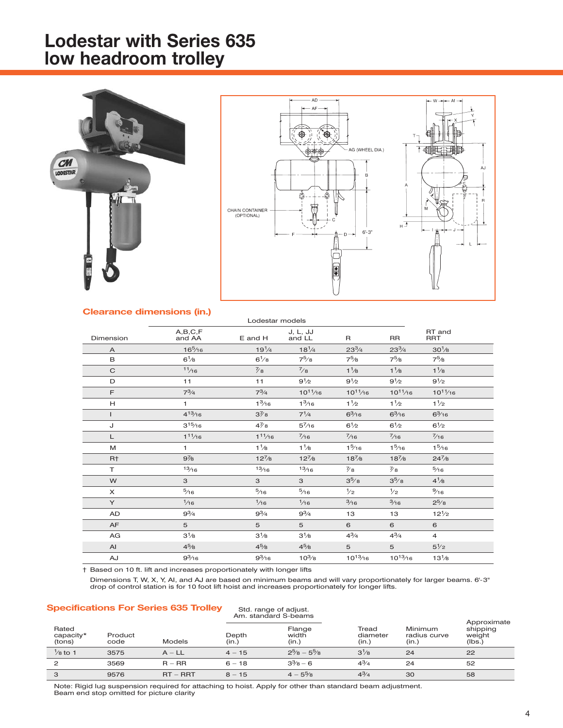## **Lodestar with Series 635 low headroom trolley**





#### **Clearance dimensions (in.)**

| Dimension      | A,B,C,F<br>and AA   | E and H         | J, L, JJ<br>and LL | R                      | <b>RR</b>            | RT and<br><b>RRT</b>   |  |
|----------------|---------------------|-----------------|--------------------|------------------------|----------------------|------------------------|--|
| $\overline{A}$ | 16 <sup>5</sup> /16 | $19^{1/4}$      | $18^{1/4}$         | $23^{3}/4$             | $23^{3}/4$           | $30\frac{1}{8}$        |  |
| B              | $6\frac{1}{8}$      | $6\frac{1}{8}$  | $7^{5}/8$          | $7^5\!/\!\!\mathrm{s}$ | $7^5\!/\!\mathrm{s}$ | $7^5\!/\!\!\mathrm{s}$ |  |
| $\mathsf{C}$   | 11/16               | $\frac{7}{8}$   | $^{7}/8$           | $1\frac{1}{8}$         | $1\frac{1}{8}$       | $1\frac{1}{8}$         |  |
| D              | 11                  | 11              | $9^{1/2}$          | $9^{1/2}$              | $9^{1/2}$            | $9^{1/2}$              |  |
| E              | $7^{3}/4$           | $7^3/4$         | $10^{11}/16$       | $10^{11}/16$           | $10^{11}/16$         | $10^{11}/16$           |  |
| H.             | $\mathbf{1}$        | $1\frac{3}{16}$ | 1 <sup>3</sup> /16 | $1\frac{1}{2}$         | $1\frac{1}{2}$       | $1\frac{1}{2}$         |  |
| $\mathbf{I}$   | $4^{13}/16$         | $3\frac{7}{8}$  | $7^{1/4}$          | $6^{3}/16$             | $6^{3}/16$           | $6\frac{3}{16}$        |  |
| J              | $3^{15}/16$         | $4\frac{7}{8}$  | $5^{7}/16$         | $6^{1/2}$              | $6\frac{1}{2}$       | $6\frac{1}{2}$         |  |
| L              | $1^{11}/16$         | $1^{11/16}$     | $^{7}/16$          | $^{7/16}$              | $^{7/16}$            | $\frac{7}{16}$         |  |
| M              | $\mathbf{1}$        | $1\frac{1}{8}$  | $1\frac{1}{8}$     | $1\frac{5}{16}$        | 1 <sup>5</sup> /16   | 1 <sup>5</sup> /16     |  |
| R <sup>+</sup> | $9\frac{7}{8}$      | $12^{7}/8$      | $12^{7}/8$         | $18^{7}/8$             | $18^{7}/8$           | $24^{7}/8$             |  |
| T.             | 13/16               | 13/16           | 13/16              | $\frac{7}{8}$          | $\frac{7}{8}$        | $\frac{5}{16}$         |  |
| W              | 3                   | 3               | 3                  | $3^{5}/8$              | $3^{5}/8$            | $4^{1/8}$              |  |
| $\times$       | $\frac{5}{16}$      | $\frac{5}{16}$  | $\frac{5}{16}$     | $\frac{1}{2}$          | $\frac{1}{2}$        | $\frac{9}{16}$         |  |
| Y              | 1/16                | $\frac{1}{16}$  | $\frac{1}{16}$     | $\frac{3}{16}$         | $\frac{3}{16}$       | $2^{5}/8$              |  |
| AD             | $9^{3}/4$           | $9^{3}/4$       | $9^3/4$            | 13                     | 13                   | $12^{1/2}$             |  |
| AF             | 5                   | 5               | 5                  | 6                      | 6                    | 6                      |  |
| AG             | $3^{1}/8$           | $3^{1}/8$       | $3^{1}/8$          | $4^{3}/_{4}$           | $4^{3}/_{4}$         | $\overline{4}$         |  |
| AI             | $4^{5}/8$           | $4^{5}/8$       | $4^{5}/8$          | 5                      | 5                    | $5\frac{1}{2}$         |  |
| AJ             | $9^{3}/16$          | $9^{3}/16$      | $10^{3}/8$         | $10^{13}/16$           | $10^{13}/16$         | $13^{1}/8$             |  |

Lodestar models

† Based on 10 ft. lift and increases proportionately with longer lifts

Dimensions T, W, X, Y, AI, and AJ are based on minimum beams and will vary proportionately for larger beams. 6'-3" drop of control station is for 10 foot lift hoist and increases proportionately for longer lifts.

### **Specifications For Series 635 Trolley** Std. range of adjust.

|                              |                 |            | Am. standard S-beams |                                 |                            |                                  |                                             |
|------------------------------|-----------------|------------|----------------------|---------------------------------|----------------------------|----------------------------------|---------------------------------------------|
| Rated<br>capacity*<br>(tons) | Product<br>code | Models     | Depth<br>(in.)       | Flange<br>width<br>(in.)        | Tread<br>diameter<br>(in.) | Minimum<br>radius curve<br>(in.) | Approximate<br>shipping<br>weight<br>(lbs.) |
| $\frac{1}{8}$ to 1           | 3575            | $A - LL$   | $4 - 15$             | $2\frac{5}{8}$ - $5\frac{5}{8}$ | $3\frac{1}{8}$             | 24                               | 22                                          |
| $\overline{2}$               | 3569            | $R - RR$   | $6 - 18$             | $3\frac{3}{8} - 6$              | $4^{3}/4$                  | 24                               | 52                                          |
| 3                            | 9576            | $RT - RRT$ | $8 - 15$             | $4 - 5\frac{5}{8}$              | $4^{3}/4$                  | 30                               | 58                                          |

Note: Rigid lug suspension required for attaching to hoist. Apply for other than standard beam adjustment. Beam end stop omitted for picture clarity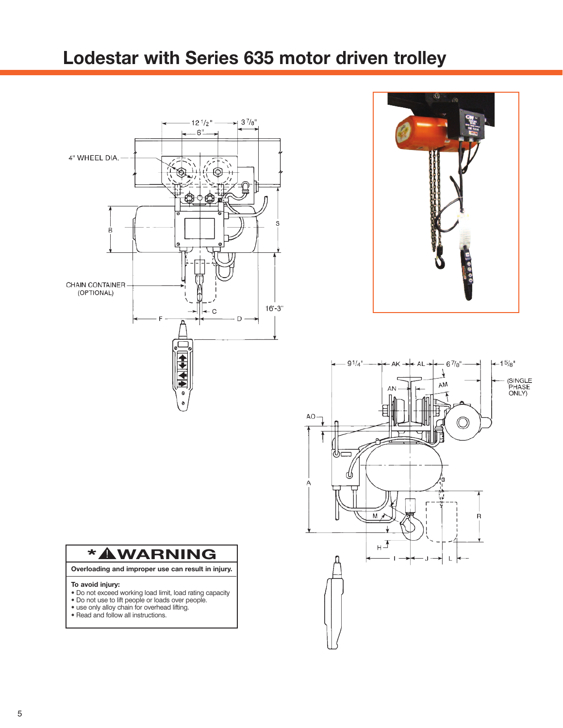## **Lodestar with Series 635 motor driven trolley**







# **\* WARNING** !

**Overloading and improper use can result in injury.**

#### **To avoid injury:**

- **•** Do not exceed working load limit, load rating capacity
- **•** Do not use to lift people or loads over people.
- **•** use only alloy chain for overhead lifting. **•** Read and follow all instructions.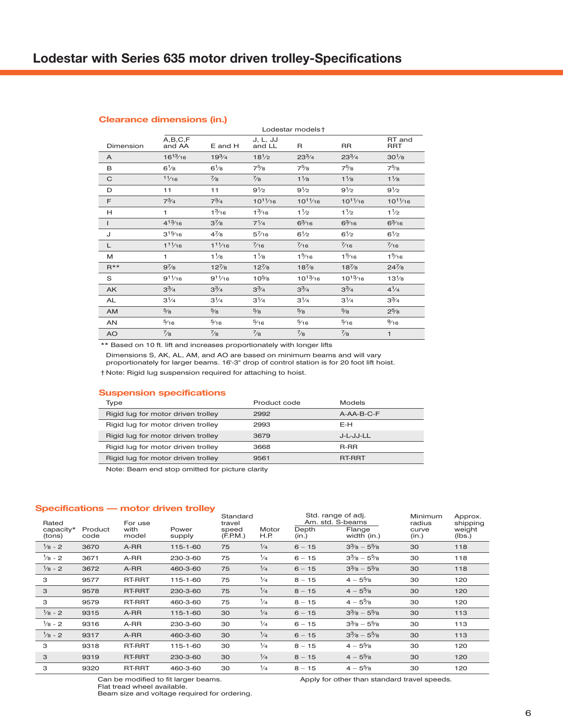#### **Clearance dimensions (in.)**

|           | Lodestar models +   |                 |                    |                 |                 |                      |  |  |
|-----------|---------------------|-----------------|--------------------|-----------------|-----------------|----------------------|--|--|
| Dimension | A,B,C,F<br>and AA   | E and H         | J, L, JJ<br>and LL | $\mathsf{R}$    | <b>RR</b>       | RT and<br><b>RRT</b> |  |  |
| A         | $16^{13}/16$        | $19^{3}/4$      | $18^{1/2}$         | $23^{3}/4$      | $23^{3}/4$      | $30^{1}/8$           |  |  |
| B         | $6\frac{1}{8}$      | $6\frac{1}{8}$  | $7^{5}/8$          | $7^{5}/8$       | $7^{5}/8$       | $7\frac{5}{8}$       |  |  |
| C         | 11/16               | $\frac{7}{8}$   | $^{7}/_8$          | $1\frac{1}{8}$  | $1\frac{1}{8}$  | $1\frac{1}{8}$       |  |  |
| D         | 11                  | 11              | $9^{1/2}$          | $9^{1/2}$       | $9^{1/2}$       | $9^{1/2}$            |  |  |
| F         | $7^{3}/4$           | $7^{3}/4$       | $10^{11}/16$       | $10^{11}/16$    | $10^{11}/16$    | $10^{11}/16$         |  |  |
| H         | 1                   | $1\frac{3}{16}$ | $1\frac{3}{16}$    | $1\frac{1}{2}$  | $1\frac{1}{2}$  | $1\frac{1}{2}$       |  |  |
| ı         | $4^{13}/16$         | $3^{7}/8$       | $7^{1/4}$          | $6\frac{3}{16}$ | $6\frac{3}{16}$ | $6\frac{3}{16}$      |  |  |
| J         | $3^{15}/16$         | $4^{7}/8$       | $5^{7}/16$         | $6\frac{1}{2}$  | $6^{1/2}$       | $6^{1/2}$            |  |  |
| L         | 1 <sup>11</sup> /16 | $1^{11/16}$     | $\frac{7}{16}$     | $\frac{7}{16}$  | $\frac{7}{16}$  | $\frac{7}{16}$       |  |  |
| M         | 1                   | $1\frac{1}{8}$  | $1\frac{1}{8}$     | $1\frac{5}{16}$ | $1\frac{5}{16}$ | $1\frac{5}{16}$      |  |  |
| $R***$    | $9^{7}/8$           | $12^{7}/8$      | $12^{7}/8$         | $18^{7}/8$      | $18^{7}_{8}$    | $24^{7}/8$           |  |  |
| S         | $9^{11}/16$         | $9^{11}/16$     | $10^{5}/8$         | $10^{13}/16$    | $10^{13}/16$    | $13^{1}/8$           |  |  |
| <b>AK</b> | $3^{3}/4$           | $3^{3}/4$       | $3^{3}/4$          | $3^{3}/4$       | $3^{3}/4$       | $4^{1/4}$            |  |  |
| <b>AL</b> | $3^{1/4}$           | $3^{1/4}$       | $3^{1/4}$          | $3^{1/4}$       | $3^{1/4}$       | $3^{3}/4$            |  |  |
| <b>AM</b> | $\frac{5}{8}$       | $\frac{5}{8}$   | $\frac{5}{8}$      | $\frac{5}{8}$   | $\frac{5}{8}$   | $2^{5}/8$            |  |  |
| AN        | $\frac{5}{16}$      | $\frac{5}{16}$  | $\frac{5}{16}$     | $\frac{5}{16}$  | $\frac{5}{16}$  | $\frac{9}{16}$       |  |  |
| <b>AO</b> | $^{7}/8$            | $^{7}/8$        | $^{7}/8$           | $^{7}/8$        | $^{7}/8$        | $\mathbf{1}$         |  |  |

\*\* Based on 10 ft. lift and increases proportionately with longer lifts

Dimensions S, AK, AL, AM, and AO are based on minimum beams and will vary proportionately for larger beams. 16'-3" drop of control station is for 20 foot lift hoist.

† Note: Rigid lug suspension required for attaching to hoist.

#### **Suspension specifications**

| Type                               | Product code | Models       |
|------------------------------------|--------------|--------------|
| Rigid lug for motor driven trolley | 2992         | $A-AA-B-C-F$ |
| Rigid lug for motor driven trolley | 2993         | E-H          |
| Rigid lug for motor driven trolley | 3679         | J-L-JJ-LL    |
| Rigid lug for motor driven trolley | 3668         | R-RR         |
| Rigid lug for motor driven trolley | 9561         | RT-RRT       |
|                                    |              |              |

Note: Beam end stop omitted for picture clarity

#### **Specifications — motor driven trolley**

| Rated<br>capacity*<br>(tons) | Product<br>code | For use<br>with<br>model | Power<br>supply | Standard<br>travel<br>speed<br>(F.P.M.) | Motor<br>H.P. | Std. range of adj.<br>Am. std. S-beams<br>Depth<br>(in.) | Flange<br>width (in.)           | Minimum<br>radius<br>curve<br>(in.) | Approx.<br>shipping<br>weight<br>(lbs.) |
|------------------------------|-----------------|--------------------------|-----------------|-----------------------------------------|---------------|----------------------------------------------------------|---------------------------------|-------------------------------------|-----------------------------------------|
| $\frac{1}{8}$ - 2            | 3670            | A-RR                     | 115-1-60        | 75                                      | $\frac{1}{4}$ | $6 - 15$                                                 | $3\frac{3}{8} - 5\frac{5}{8}$   | 30                                  | 118                                     |
| $\frac{1}{8}$ - 2            | 3671            | A-RR                     | 230-3-60        | 75                                      | $\frac{1}{4}$ | $6 - 15$                                                 | $3\frac{3}{8}$ - $5\frac{5}{8}$ | 30                                  | 118                                     |
| $\frac{1}{8}$ - 2            | 3672            | A-RR                     | 460-3-60        | 75                                      | $\frac{1}{4}$ | $6 - 15$                                                 | $3\frac{3}{8}$ - $5\frac{5}{8}$ | 30                                  | 118                                     |
| 3                            | 9577            | RT-RRT                   | 115-1-60        | 75                                      | $\frac{1}{4}$ | $8 - 15$                                                 | $4 - 5\%$                       | 30                                  | 120                                     |
| 3                            | 9578            | RT-RRT                   | 230-3-60        | 75                                      | $\frac{1}{4}$ | $8 - 15$                                                 | $4 - 5\%$                       | 30                                  | 120                                     |
| 3                            | 9579            | <b>RT-RRT</b>            | 460-3-60        | 75                                      | $\frac{1}{4}$ | $8 - 15$                                                 | $4 - 5\%$                       | 30                                  | 120                                     |
| $\frac{1}{8}$ - 2            | 9315            | A-RR                     | 115-1-60        | 30                                      | $\frac{1}{4}$ | $6 - 15$                                                 | $3\frac{3}{8} - 5\frac{5}{8}$   | 30                                  | 113                                     |
| $\frac{1}{8}$ - 2            | 9316            | A-RR                     | 230-3-60        | 30                                      | $\frac{1}{4}$ | $6 - 15$                                                 | $3\frac{3}{8} - 5\frac{5}{8}$   | 30                                  | 113                                     |
| $\frac{1}{8}$ - 2            | 9317            | A-RR                     | 460-3-60        | 30                                      | $\frac{1}{4}$ | $6 - 15$                                                 | $3\frac{3}{8}$ - $5\frac{5}{8}$ | 30                                  | 113                                     |
| 3                            | 9318            | RT-RRT                   | 115-1-60        | 30                                      | $\frac{1}{4}$ | $8 - 15$                                                 | $4 - 5\%$                       | 30                                  | 120                                     |
| 3                            | 9319            | RT-RRT                   | 230-3-60        | 30                                      | $\frac{1}{4}$ | $8 - 15$                                                 | $4 - 5\%$                       | 30                                  | 120                                     |
| 3                            | 9320            | RT-RRT                   | 460-3-60        | 30                                      | $\frac{1}{4}$ | $8 - 15$                                                 | $4 - 5\%$                       | 30                                  | 120                                     |

Can be modified to fit larger beams. Flat tread wheel available. Beam size and voltage required for ordering. Apply for other than standard travel speeds.